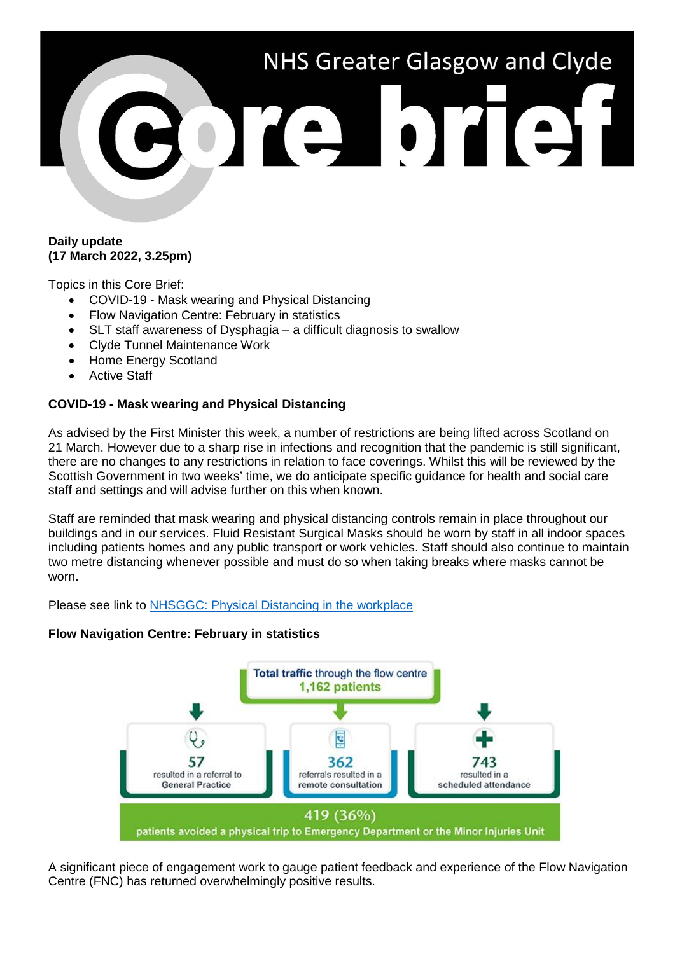# NHS Greater Glasgow and Clyde ore brief

## **Daily update (17 March 2022, 3.25pm)**

Topics in this Core Brief:

- COVID-19 Mask wearing and Physical Distancing
- Flow Navigation Centre: February in statistics
- SLT staff awareness of Dysphagia a difficult diagnosis to swallow
- Clyde Tunnel Maintenance Work
- Home Energy Scotland
- **Active Staff**

# **COVID-19 - Mask wearing and Physical Distancing**

As advised by the First Minister this week, a number of restrictions are being lifted across Scotland on 21 March. However due to a sharp rise in infections and recognition that the pandemic is still significant, there are no changes to any restrictions in relation to face coverings. Whilst this will be reviewed by the Scottish Government in two weeks' time, we do anticipate specific guidance for health and social care staff and settings and will advise further on this when known.

Staff are reminded that mask wearing and physical distancing controls remain in place throughout our buildings and in our services. Fluid Resistant Surgical Masks should be worn by staff in all indoor spaces including patients homes and any public transport or work vehicles. Staff should also continue to maintain two metre distancing whenever possible and must do so when taking breaks where masks cannot be worn.

Please see link to [NHSGGC: Physical Distancing in the workplace](https://www.nhsggc.org.uk/your-health/health-issues/covid-19-coronavirus/for-nhsggc-staff/physical-distancing-in-the-workplace/)

# **Flow Navigation Centre: February in statistics**



A significant piece of engagement work to gauge patient feedback and experience of the Flow Navigation Centre (FNC) has returned overwhelmingly positive results.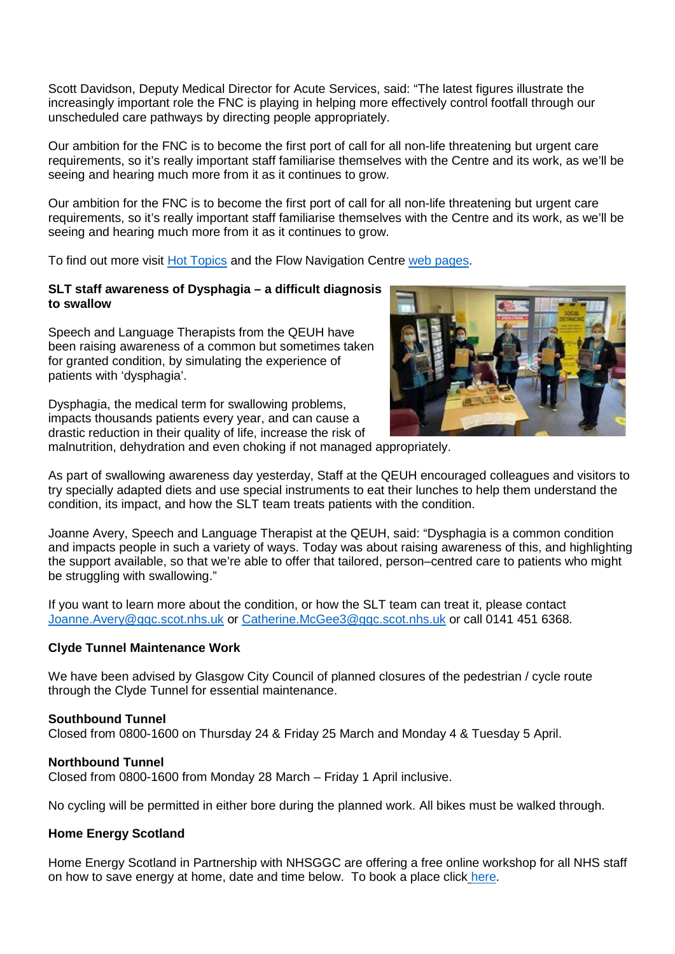Scott Davidson, Deputy Medical Director for Acute Services, said: "The latest figures illustrate the increasingly important role the FNC is playing in helping more effectively control footfall through our unscheduled care pathways by directing people appropriately.

Our ambition for the FNC is to become the first port of call for all non-life threatening but urgent care requirements, so it's really important staff familiarise themselves with the Centre and its work, as we'll be seeing and hearing much more from it as it continues to grow.

Our ambition for the FNC is to become the first port of call for all non-life threatening but urgent care requirements, so it's really important staff familiarise themselves with the Centre and its work, as we'll be seeing and hearing much more from it as it continues to grow.

To find out more visit [Hot Topics](http://www.staffnet.ggc.scot.nhs.uk/Corporate%20Services/Communications/Hot%20Topics/Pages/FlowNavigationCentreFebruaryinstatistics.aspx) and the Flow Navigation Centre [web pages.](https://www.nhsggc.org.uk/about-us/professional-support-sites/flow-navigation-hub/)

## **SLT staff awareness of Dysphagia – a difficult diagnosis to swallow**

Speech and Language Therapists from the QEUH have been raising awareness of a common but sometimes taken for granted condition, by simulating the experience of patients with 'dysphagia'.

Dysphagia, the medical term for swallowing problems, impacts thousands patients every year, and can cause a drastic reduction in their quality of life, increase the risk of



malnutrition, dehydration and even choking if not managed appropriately.

As part of swallowing awareness day yesterday, Staff at the QEUH encouraged colleagues and visitors to try specially adapted diets and use special instruments to eat their lunches to help them understand the condition, its impact, and how the SLT team treats patients with the condition.

Joanne Avery, Speech and Language Therapist at the QEUH, said: "Dysphagia is a common condition and impacts people in such a variety of ways. Today was about raising awareness of this, and highlighting the support available, so that we're able to offer that tailored, person–centred care to patients who might be struggling with swallowing."

If you want to learn more about the condition, or how the SLT team can treat it, please contact [Joanne.Avery@ggc.scot.nhs.uk](mailto:Joanne.Avery@ggc.scot.nhs.uk) or [Catherine.McGee3@ggc.scot.nhs.uk](mailto:Catherine.McGee3@ggc.scot.nhs.uk) or call 0141 451 6368.

## **Clyde Tunnel Maintenance Work**

We have been advised by Glasgow City Council of planned closures of the pedestrian / cycle route through the Clyde Tunnel for essential maintenance.

#### **Southbound Tunnel**

Closed from 0800-1600 on Thursday 24 & Friday 25 March and Monday 4 & Tuesday 5 April.

#### **Northbound Tunnel**

Closed from 0800-1600 from Monday 28 March – Friday 1 April inclusive.

No cycling will be permitted in either bore during the planned work. All bikes must be walked through.

## **Home Energy Scotland**

Home Energy Scotland in Partnership with NHSGGC are offering a free online workshop for all NHS staff on how to save energy at home, date and time below. To book a place click [here.](https://link.webropol.com/s/HomeEnergyScotlandRegistration)